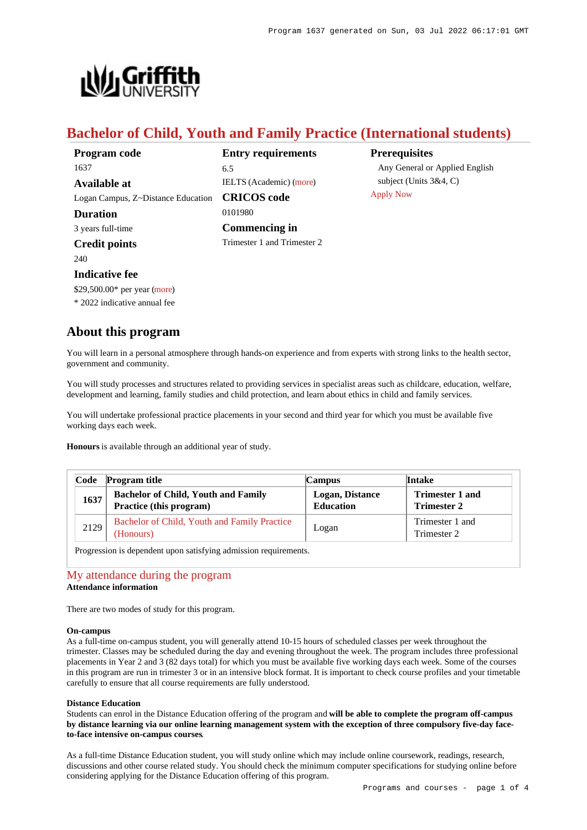

# **Bachelor of Child, Youth and Family Practice (International students)**

| Program code                       | <b>Entry requirements</b>      | <b>Prerequisites</b>           |
|------------------------------------|--------------------------------|--------------------------------|
| 1637                               | 6.5                            | Any General or Applied English |
| Available at                       | <b>IELTS</b> (Academic) (more) | subject (Units $3&4, C$ )      |
| Logan Campus, Z~Distance Education | <b>CRICOS</b> code             | <b>Apply Now</b>               |
| <b>Duration</b>                    | 0101980                        |                                |
| 3 years full-time                  | Commencing in                  |                                |
| <b>Credit points</b>               | Trimester 1 and Trimester 2    |                                |
| 240                                |                                |                                |
|                                    |                                |                                |

# **Indicative fee**

\$29,500.00\* per year [\(more](https://www148.griffith.edu.au/programs-courses/Program/1637/Overview/International#fees))

\* 2022 indicative annual fee

# **About this program**

You will learn in a personal atmosphere through hands-on experience and from experts with strong links to the health sector, government and community.

You will study processes and structures related to providing services in specialist areas such as childcare, education, welfare, development and learning, family studies and child protection, and learn about ethics in child and family services.

You will undertake professional practice placements in your second and third year for which you must be available five working days each week.

**Honours** is available through an additional year of study.

| Code | <b>Program title</b>                                                  | Campus                                     | Intake                                       |
|------|-----------------------------------------------------------------------|--------------------------------------------|----------------------------------------------|
| 1637 | <b>Bachelor of Child, Youth and Family</b><br>Practice (this program) | <b>Logan, Distance</b><br><b>Education</b> | <b>Trimester 1 and</b><br><b>Trimester 2</b> |
| 2129 | Bachelor of Child, Youth and Family Practice<br>(Honours)             | Logan                                      | Trimester 1 and<br>Trimester 2               |

Progression is dependent upon satisfying admission requirements.

# [My attendance during the program](https://www148.griffith.edu.au/programs-courses/Program/1637/Overview/International#attendance) **Attendance information**

There are two modes of study for this program.

#### **On-campus**

As a full-time on-campus student, you will generally attend 10-15 hours of scheduled classes per week throughout the trimester. Classes may be scheduled during the day and evening throughout the week. The program includes three professional placements in Year 2 and 3 (82 days total) for which you must be available five working days each week. Some of the courses in this program are run in trimester 3 or in an intensive block format. It is important to check course profiles and your timetable carefully to ensure that all course requirements are fully understood.

#### **Distance Education**

Students can enrol in the Distance Education offering of the program and **will be able to complete the program off-campus by distance learning via our online learning management system with the exception of three compulsory five-day faceto-face intensive on-campus courses**.

As a full-time Distance Education student, you will study online which may include online coursework, readings, research, discussions and other course related study. You should check the minimum computer specifications for studying online before considering applying for the Distance Education offering of this program.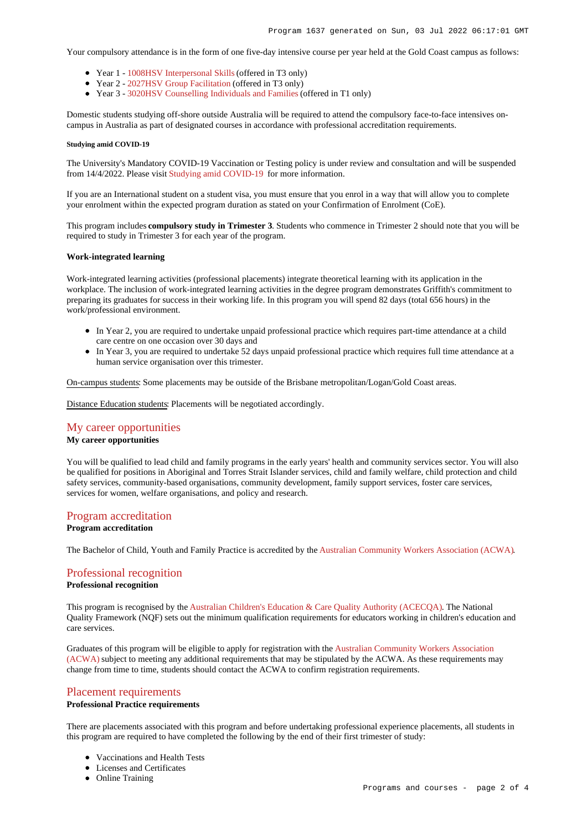Your compulsory attendance is in the form of one five-day intensive course per year held at the Gold Coast campus as follows:

- Year 1 - [1008HSV Interpersonal Skills](https://www148.griffith.edu.au/Course/1008HSV) (offered in T3 only)
- Year 2 - [2027HSV Group Facilitation](https://www148.griffith.edu.au/Course/2027HSV) (offered in T3 only)
- Year 3 - [3020HSV Counselling Individuals and Families](https://www148.griffith.edu.au/Course/3020HSV) (offered in T1 only)

Domestic students studying off-shore outside Australia will be required to attend the compulsory face-to-face intensives oncampus in Australia as part of designated courses in accordance with professional accreditation requirements.

#### **Studying amid COVID-19**

The University's Mandatory COVID-19 Vaccination or Testing policy is under review and consultation and will be suspended from 14/4/2022. Please visit [Studying amid COVID-19](https://www.griffith.edu.au/coronavirus/studying-amid-covid-19) for more information.

If you are an International student on a student visa, you must ensure that you enrol in a way that will allow you to complete your enrolment within the expected program duration as stated on your Confirmation of Enrolment (CoE).

This program includes **compulsory study in Trimester 3**. Students who commence in Trimester 2 should note that you will be required to study in Trimester 3 for each year of the program.

#### **Work-integrated learning**

Work-integrated learning activities (professional placements) integrate theoretical learning with its application in the workplace. The inclusion of work-integrated learning activities in the degree program demonstrates Griffith's commitment to preparing its graduates for success in their working life. In this program you will spend 82 days (total 656 hours) in the work/professional environment.

- In Year 2, you are required to undertake unpaid professional practice which requires part-time attendance at a child care centre on one occasion over 30 days and
- In Year 3, you are required to undertake 52 days unpaid professional practice which requires full time attendance at a human service organisation over this trimester.

On-campus students: Some placements may be outside of the Brisbane metropolitan/Logan/Gold Coast areas.

Distance Education students: Placements will be negotiated accordingly.

## [My career opportunities](https://www148.griffith.edu.au/programs-courses/Program/1637/Overview/International#opportunities)

# **My career opportunities**

You will be qualified to lead child and family programs in the early years' health and community services sector. You will also be qualified for positions in Aboriginal and Torres Strait Islander services, child and family welfare, child protection and child safety services, community-based organisations, community development, family support services, foster care services, services for women, welfare organisations, and policy and research.

## [Program accreditation](https://www148.griffith.edu.au/programs-courses/Program/1637/Overview/International#accreditation)

# **Program accreditation**

The Bachelor of Child, Youth and Family Practice is accredited by the [Australian Community Workers Association \(ACWA\)](https://www.acwa.org.au//).

# [Professional recognition](https://www148.griffith.edu.au/programs-courses/Program/1637/Overview/International#recognition)

# **Professional recognition**

This program is recognised by the [Australian Children's Education & Care Quality Authority \(ACECQA\)](https://www.acecqa.gov.au/). The National Quality Framework (NQF) sets out the minimum qualification requirements for educators working in children's education and care services.

Graduates of this program will be eligible to apply for registration with the [Australian Community Workers Association](https://www.acwa.org.au//) [\(ACWA\)](https://www.acwa.org.au//) subject to meeting any additional requirements that may be stipulated by the ACWA. As these requirements may change from time to time, students should contact the ACWA to confirm registration requirements.

# [Placement requirements](https://www148.griffith.edu.au/programs-courses/Program/1637/Overview/International#placement)

### **Professional Practice requirements**

There are placements associated with this program and before undertaking professional experience placements, all students in this program are required to have completed the following by the end of their first trimester of study:

- Vaccinations and Health Tests
- Licenses and Certificates
- Online Training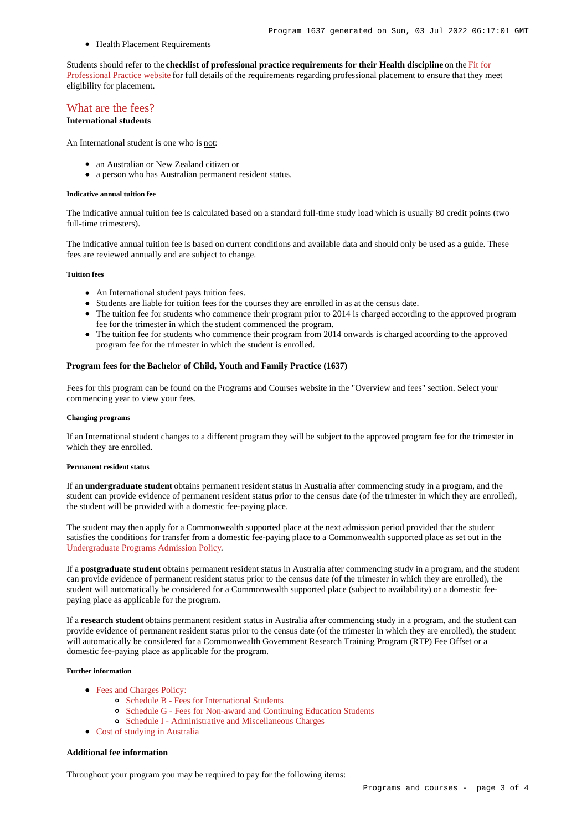• Health Placement Requirements

Students should refer to the **checklist of professional practice requirements for their Health discipline** on the [Fit for](https://www.griffith.edu.au/griffith-health/fit-for-professional-practice) [Professional Practice website](https://www.griffith.edu.au/griffith-health/fit-for-professional-practice) for full details of the requirements regarding professional placement to ensure that they meet eligibility for placement.

# [What are the fees?](https://www148.griffith.edu.au/programs-courses/Program/1637/Overview/International#fees)

**International students**

An International student is one who is not:

- an Australian or New Zealand citizen or
- a person who has Australian permanent resident status.

#### **Indicative annual tuition fee**

The indicative annual tuition fee is calculated based on a standard full-time study load which is usually 80 credit points (two full-time trimesters).

The indicative annual tuition fee is based on current conditions and available data and should only be used as a guide. These fees are reviewed annually and are subject to change.

### **Tuition fees**

- An International student pays tuition fees.
- Students are liable for tuition fees for the courses they are enrolled in as at the census date.
- The tuition fee for students who commence their program prior to 2014 is charged according to the approved program fee for the trimester in which the student commenced the program.
- The tuition fee for students who commence their program from 2014 onwards is charged according to the approved program fee for the trimester in which the student is enrolled.

#### **Program fees for the Bachelor of Child, Youth and Family Practice (1637)**

Fees for this program can be found on the Programs and Courses website in the "Overview and fees" section. Select your commencing year to view your fees.

#### **Changing programs**

If an International student changes to a different program they will be subject to the approved program fee for the trimester in which they are enrolled.

#### **Permanent resident status**

If an **undergraduate student** obtains permanent resident status in Australia after commencing study in a program, and the student can provide evidence of permanent resident status prior to the census date (of the trimester in which they are enrolled), the student will be provided with a domestic fee-paying place.

The student may then apply for a Commonwealth supported place at the next admission period provided that the student satisfies the conditions for transfer from a domestic fee-paying place to a Commonwealth supported place as set out in the [Undergraduate Programs Admission Policy](http://policies.griffith.edu.au/pdf/Undergraduate Programs Admission Policy.pdf).

If a **postgraduate student** obtains permanent resident status in Australia after commencing study in a program, and the student can provide evidence of permanent resident status prior to the census date (of the trimester in which they are enrolled), the student will automatically be considered for a Commonwealth supported place (subject to availability) or a domestic feepaying place as applicable for the program.

If a **research student** obtains permanent resident status in Australia after commencing study in a program, and the student can provide evidence of permanent resident status prior to the census date (of the trimester in which they are enrolled), the student will automatically be considered for a Commonwealth Government Research Training Program (RTP) Fee Offset or a domestic fee-paying place as applicable for the program.

### **Further information**

- [Fees and Charges Policy:](https://policies.griffith.edu.au/pdf/Fees and Charges Policy.pdf)
	- [Schedule B Fees for International Students](https://policies.griffith.edu.au/pdf/Fees and Charges Policy Schedule B.pdf)
	- [Schedule G Fees for Non-award and Continuing Education Students](https://policies.griffith.edu.au/pdf/Fees and Charges Policy Schedule G.pdf)
	- [Schedule I Administrative and Miscellaneous Charges](https://policies.griffith.edu.au/pdf/Fees and Charges Policy Schedule I.pdf)
- [Cost of studying in Australia](https://www.griffith.edu.au/life-at-griffith/australia/cost-of-studying)

### **Additional fee information**

Throughout your program you may be required to pay for the following items: